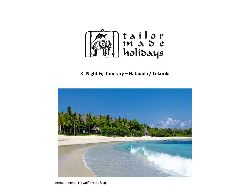

**8 Night Fiji Itinerary – Natadola / Tokoriki**

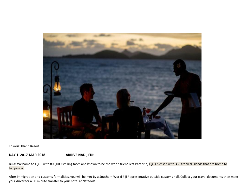

Tokoriki Island Resort

**DAY 1 2017-MAR 2018 ARRIVE NADI, FIJI:**

Bula! Welcome to Fiji.... with 800,000 smiling faces and known to be the world friendliest Paradise, Fiji is blessed with 333 tropical islands that are home to happiness.

After immigration and customs formalities, you will be met by a Southern World Fiji Representative outside customs hall. Collect your travel documents then meet your driver for a 60 minute transfer to your hotel at Natadola.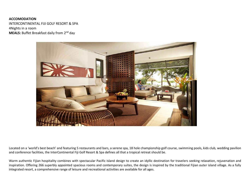## **ACCOMODATION** INTERCONTINENTAL FIJI GOLF RESORT & SPA 4Nights in a room **MEALS:** Buffet Breakfast daily from 2<sup>nd</sup> day



Located on a 'world's best beach' and featuring 5 restaurants and bars, a serene spa, 18 hole championship golf course, swimming pools, kids club, wedding pavilion and conference facilities, the InterContinental Fiji Golf Resort & Spa defines all that a tropical retreat should be.

Warm authentic Fijian hospitality combines with spectacular Pacific Island design to create an idyllic destination for travelers seeking relaxation, rejuvenation and inspiration. Offering 266 superbly appointed spacious rooms and contemporary suites, the design is inspired by the traditional Fijian outer island village. As a fully integrated resort, a comprehensive range of leisure and recreational activities are available for all ages.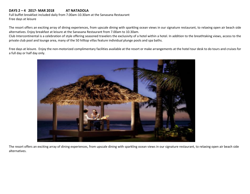### **DAYS 2 – 4 2017- MAR 2018 AT NATADOLA**

Full buffet breakfast included daily from 7.00am-10.30am at the Sanasana Restaurant Free days at leisure

The resort offers an exciting array of dining experiences, from upscale dining with sparkling ocean views in our signature restaurant, to relaxing open air beach side alternatives. Enjoy breakfast at leisure at the Sanasana Restaurant from 7.00am to 10.30am.

Club Intercontinental is a celebration of style offering seasoned travelers the exclusivity of a hotel within a hotel. In addition to the breathtaking views, access to the private club pool and lounge area, many of the 50 hilltop villas feature individual plunge pools and spa baths.

Free days at leisure. Enjoy the non-motorized complimentary facilities available at the resort or make arrangements at the hotel tour desk to do tours and cruises for a full day or half day only.



The resort offers an exciting array of dining experiences, from upscale dining with sparkling ocean views in our signature restaurant, to relaxing open air beach side alternatives.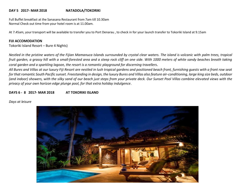#### **DAY 5 2017- MAR 2018 NATADOLA/TOKORIKI**

Full Buffet breakfast at the Sanasana Restaurant from 7am till 10.30am Normal Check out time from your hotel room is at 11.00am.

At 7.45am, your transport will be available to transfer you to Port Denarau , to check in for your launch transfer to Tokoriki Island at 9.15am

#### **FIJI ACCOMODATION**

Tokoriki Island Resort – Bure 4 Nights)

*Nestled in the pristine waters of the Fijian Mamanuca Islands surrounded by crystal clear waters. The island is volcanic with palm trees, tropical fruit garden, a grassy hill with a small-forested area and a steep rock cliff on one side. With 1000 meters of white sandy beaches breath taking coral garden and a sparkling lagoon, the resort is a romantic playground for discerning travellers.*

*All Bures and Villas at our luxury Fiji Resort are nestled in lush tropical gardens and positioned beach front, furnishing guests with a front row seat for that romantic South Pacific sunset. Freestanding in design, the luxury Bures and Villas also feature air-conditioning, large king size beds, outdoor (and indoor) showers, with the silky sand of our beach just steps from your private deck. Our Sunset Pool Villas combine elevated views with the privacy of your own horizon edge plunge pool, for that extra holiday indulgence*.

**DAYS 6 - 8 2017- MAR 2018 AT TOKORIKI ISLAND**

#### *Days at leisure*

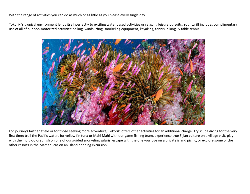With the range of activities you can do as much or as little as you please every single day.

Tokoriki's tropical environment lends itself perfectly to exciting water based activities or relaxing leisure pursuits. Your tariff includes complimentary use of all of our non-motorized activities: sailing, windsurfing, snorkeling equipment, kayaking, tennis, hiking, & table tennis.



For journeys farther afield or for those seeking more adventure, Tokoriki offers other activities for an additional charge. Try scuba diving for the very first time; troll the Pacific waters for yellow fin tuna or Mahi Mahi with our game fishing team, experience true Fijian culture on a village visit, play with the multi-colored fish on one of our guided snorkeling safaris, escape with the one you love on a private island picnic, or explore some of the other resorts in the Mamanucas on an island hopping excursion.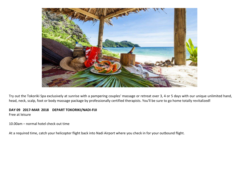

Try out the Tokoriki Spa exclusively at sunrise with a pampering couples' massage or retreat over 3, 4 or 5 days with our unique unlimited hand, head, neck, scalp, foot or body massage package by professionally certified therapists. You'll be sure to go home totally revitalized**!**

# **DAY 09 2017-MAR 2018 DEPART TOKORIKI/NADI-FIJI**

Free at leisure

10.00am – normal hotel check out time

At a required time, catch your helicopter flight back into Nadi Airport where you check in for your outbound flight.